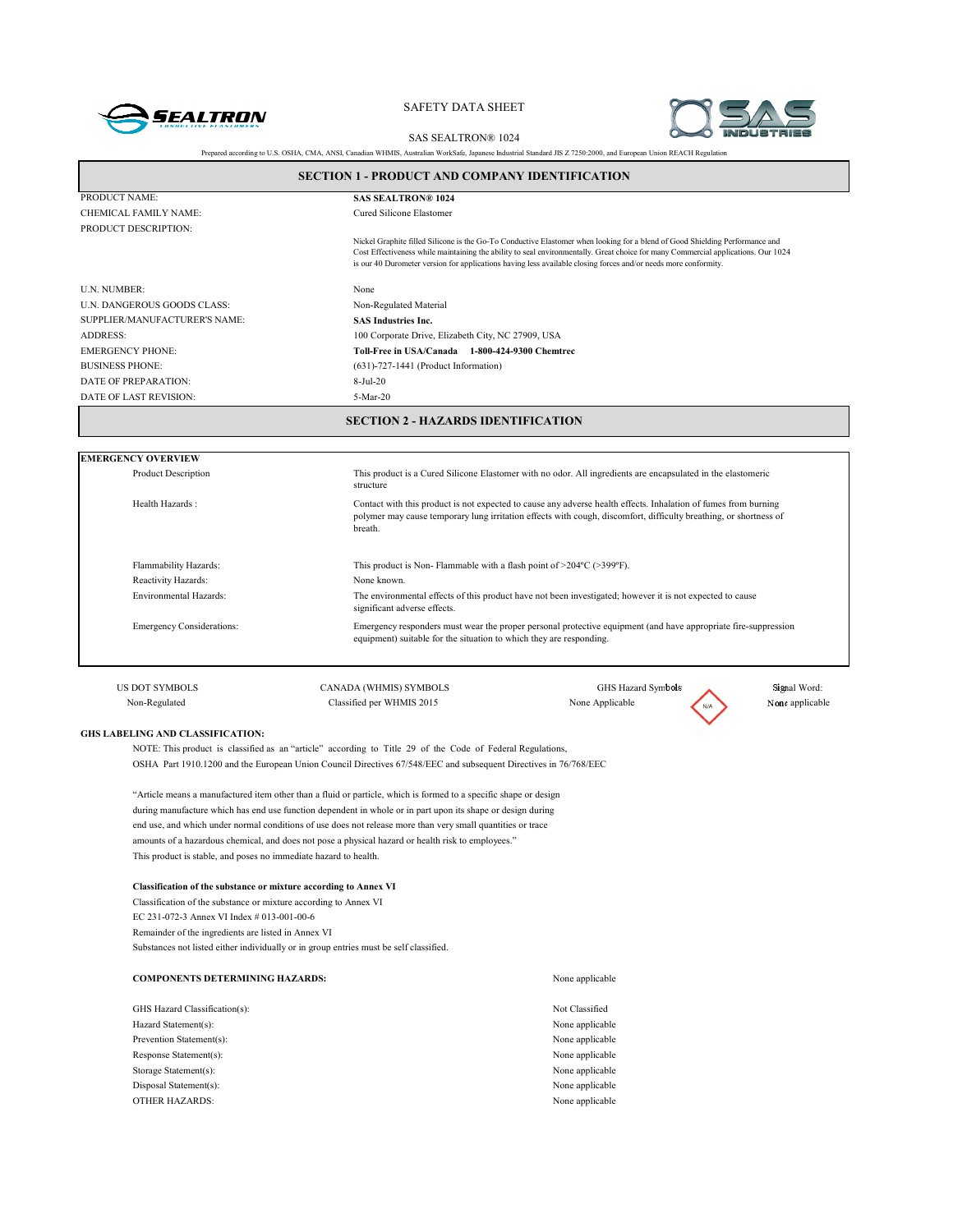



SAS SEALTRON® 1024 Prepared according to U.S. OSHA, CMA, ANSI, Canadian WHMIS, Australian WorkSafe, Japanese Industrial Standard JIS Z 7250:2000, and European Union REACH Regulation

|                                         | SECTION 1 - PRODUCT AND COMPANY IDENTIFICATION                                                                            |                                                                                                                                                                                                                                                                                                                                                                                      |                 |  |  |
|-----------------------------------------|---------------------------------------------------------------------------------------------------------------------------|--------------------------------------------------------------------------------------------------------------------------------------------------------------------------------------------------------------------------------------------------------------------------------------------------------------------------------------------------------------------------------------|-----------------|--|--|
| PRODUCT NAME:                           | <b>SAS SEALTRON® 1024</b>                                                                                                 |                                                                                                                                                                                                                                                                                                                                                                                      |                 |  |  |
| CHEMICAL FAMILY NAME:                   | Cured Silicone Elastomer                                                                                                  |                                                                                                                                                                                                                                                                                                                                                                                      |                 |  |  |
| PRODUCT DESCRIPTION:                    |                                                                                                                           |                                                                                                                                                                                                                                                                                                                                                                                      |                 |  |  |
|                                         |                                                                                                                           | Nickel Graphite filled Silicone is the Go-To Conductive Elastomer when looking for a blend of Good Shielding Performance and<br>Cost Effectiveness while maintaining the ability to seal environmentally. Great choice for many Commercial applications. Our 1024<br>is our 40 Durometer version for applications having less available closing forces and/or needs more conformity. |                 |  |  |
| U.N. NUMBER:                            | None                                                                                                                      |                                                                                                                                                                                                                                                                                                                                                                                      |                 |  |  |
| U.N. DANGEROUS GOODS CLASS:             | Non-Regulated Material                                                                                                    |                                                                                                                                                                                                                                                                                                                                                                                      |                 |  |  |
| SUPPLIER/MANUFACTURER'S NAME:           | <b>SAS Industries Inc.</b>                                                                                                |                                                                                                                                                                                                                                                                                                                                                                                      |                 |  |  |
| <b>ADDRESS:</b>                         | 100 Corporate Drive, Elizabeth City, NC 27909, USA                                                                        |                                                                                                                                                                                                                                                                                                                                                                                      |                 |  |  |
| <b>EMERGENCY PHONE:</b>                 | Toll-Free in USA/Canada 1-800-424-9300 Chemtrec                                                                           |                                                                                                                                                                                                                                                                                                                                                                                      |                 |  |  |
| <b>BUSINESS PHONE:</b>                  | $(631)$ -727-1441 (Product Information)                                                                                   |                                                                                                                                                                                                                                                                                                                                                                                      |                 |  |  |
| DATE OF PREPARATION:                    | 8-Jul-20                                                                                                                  |                                                                                                                                                                                                                                                                                                                                                                                      |                 |  |  |
| DATE OF LAST REVISION:                  | 5-Mar-20                                                                                                                  |                                                                                                                                                                                                                                                                                                                                                                                      |                 |  |  |
|                                         | <b>SECTION 2 - HAZARDS IDENTIFICATION</b>                                                                                 |                                                                                                                                                                                                                                                                                                                                                                                      |                 |  |  |
| <b>EMERGENCY OVERVIEW</b>               |                                                                                                                           |                                                                                                                                                                                                                                                                                                                                                                                      |                 |  |  |
| <b>Product Description</b>              | This product is a Cured Silicone Elastomer with no odor. All ingredients are encapsulated in the elastomeric<br>structure |                                                                                                                                                                                                                                                                                                                                                                                      |                 |  |  |
| Health Hazards:                         | breath.                                                                                                                   | Contact with this product is not expected to cause any adverse health effects. Inhalation of fumes from burning<br>polymer may cause temporary lung irritation effects with cough, discomfort, difficulty breathing, or shortness of                                                                                                                                                 |                 |  |  |
| Flammability Hazards:                   | This product is Non-Flammable with a flash point of $>$ 204°C ( $>$ 399°F).                                               |                                                                                                                                                                                                                                                                                                                                                                                      |                 |  |  |
| Reactivity Hazards:                     | None known.                                                                                                               |                                                                                                                                                                                                                                                                                                                                                                                      |                 |  |  |
| <b>Environmental Hazards:</b>           | significant adverse effects.                                                                                              | The environmental effects of this product have not been investigated; however it is not expected to cause                                                                                                                                                                                                                                                                            |                 |  |  |
| <b>Emergency Considerations:</b>        | equipment) suitable for the situation to which they are responding.                                                       | Emergency responders must wear the proper personal protective equipment (and have appropriate fire-suppression                                                                                                                                                                                                                                                                       |                 |  |  |
| <b>US DOT SYMBOLS</b>                   | CANADA (WHMIS) SYMBOLS                                                                                                    | GHS Hazard Symbols                                                                                                                                                                                                                                                                                                                                                                   | Signal Word:    |  |  |
| Non-Regulated                           | Classified per WHMIS 2015                                                                                                 | None Applicable                                                                                                                                                                                                                                                                                                                                                                      | None applicable |  |  |
|                                         |                                                                                                                           |                                                                                                                                                                                                                                                                                                                                                                                      |                 |  |  |
| <b>GHS LABELING AND CLASSIFICATION:</b> |                                                                                                                           |                                                                                                                                                                                                                                                                                                                                                                                      |                 |  |  |
|                                         | NOTE: This product is classified as an "article" according to Title 29 of the Code of Federal Regulations,                |                                                                                                                                                                                                                                                                                                                                                                                      |                 |  |  |
|                                         | OSHA Part 1910.1200 and the European Union Council Directives 67/548/EEC and subsequent Directives in 76/768/EEC          |                                                                                                                                                                                                                                                                                                                                                                                      |                 |  |  |
|                                         |                                                                                                                           |                                                                                                                                                                                                                                                                                                                                                                                      |                 |  |  |
|                                         | "Article means a manufactured item other than a fluid or particle, which is formed to a specific shape or design          |                                                                                                                                                                                                                                                                                                                                                                                      |                 |  |  |

during manufacture which has end use function dependent in whole or in part upon its shape or design during end use, and which under normal conditions of use does not release more than very small quantities or trace amounts of a hazardous chemical, and does not pose a physical hazard or health risk to employees." This product is stable, and poses no immediate hazard to health.

#### **Classification of the substance or mixture according to Annex VI**

Classification of the substance or mixture according to Annex VI EC 231-072-3 Annex VI Index # 013-001-00-6 Remainder of the ingredients are listed in Annex VI Substances not listed either individually or in group entries must be self classified.

| <b>COMPONENTS DETERMINING HAZARDS:</b> | None applicable |
|----------------------------------------|-----------------|
| GHS Hazard Classification(s):          | Not Classified  |
| Hazard Statement(s):                   | None applicable |
| Prevention Statement(s):               | None applicable |
| Response Statement(s):                 | None applicable |
| Storage Statement(s):                  | None applicable |
| Disposal Statement(s):                 | None applicable |
| <b>OTHER HAZARDS:</b>                  | None applicable |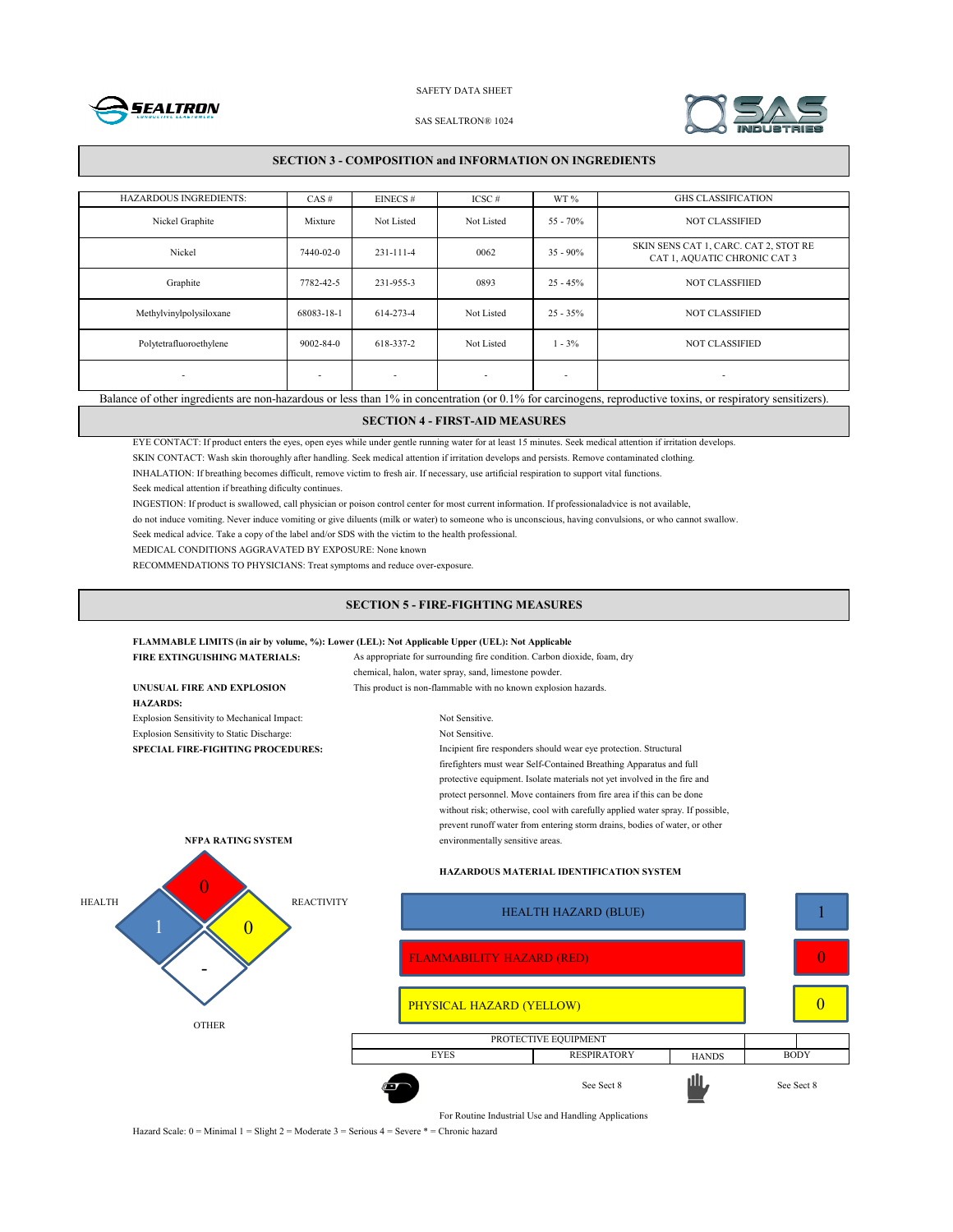



#### SAS SEALTRON® 1024

### **SECTION 3 - COMPOSITION and INFORMATION ON INGREDIENTS**

| <b>HAZARDOUS INGREDIENTS:</b>                                                                                                                               | CAS#                     | EINECS#                  | $ICSC \#$                | WT %                     | <b>GHS CLASSIFICATION</b>                                             |
|-------------------------------------------------------------------------------------------------------------------------------------------------------------|--------------------------|--------------------------|--------------------------|--------------------------|-----------------------------------------------------------------------|
| Nickel Graphite                                                                                                                                             | Mixture                  | Not Listed               | Not Listed               | $55 - 70%$               | <b>NOT CLASSIFIED</b>                                                 |
| Nickel                                                                                                                                                      | 7440-02-0                | $231 - 111 - 4$          | 0062                     | $35 - 90\%$              | SKIN SENS CAT 1, CARC. CAT 2, STOT RE<br>CAT 1, AQUATIC CHRONIC CAT 3 |
| Graphite                                                                                                                                                    | 7782-42-5                | 231-955-3                | 0893                     | $25 - 45%$               | <b>NOT CLASSFIIED</b>                                                 |
| Methylvinylpolysiloxane                                                                                                                                     | 68083-18-1               | 614-273-4                | Not Listed               | $25 - 35\%$              | <b>NOT CLASSIFIED</b>                                                 |
| Polytetrafluoroethylene                                                                                                                                     | $9002 - 84 - 0$          | 618-337-2                | Not Listed               | $1 - 3\%$                | <b>NOT CLASSIFIED</b>                                                 |
| $\overline{\phantom{a}}$                                                                                                                                    | $\overline{\phantom{a}}$ | $\overline{\phantom{a}}$ | $\overline{\phantom{a}}$ | $\overline{\phantom{a}}$ | $\overline{\phantom{a}}$                                              |
| Balance of other ingredients are non-hazardous or less than 1% in concentration (or 0.1% for carcinogens, reproductive toxins, or respiratory sensitizers). |                          |                          |                          |                          |                                                                       |

# **SECTION 4 - FIRST-AID MEASURES**

EYE CONTACT: If product enters the eyes, open eyes while under gentle running water for at least 15 minutes. Seek medical attention if irritation develops.

SKIN CONTACT: Wash skin thoroughly after handling. Seek medical attention if irritation develops and persists. Remove contaminated clothing.

INHALATION: If breathing becomes difficult, remove victim to fresh air. If necessary, use artificial respiration to support vital functions.

Seek medical attention if breathing dificulty continues.

INGESTION: If product is swallowed, call physician or poison control center for most current information. If professionaladvice is not available,

do not induce vomiting. Never induce vomiting or give diluents (milk or water) to someone who is unconscious, having convulsions, or who cannot swallow.

Seek medical advice. Take a copy of the label and/or SDS with the victim to the health professional.

MEDICAL CONDITIONS AGGRAVATED BY EXPOSURE: None known

RECOMMENDATIONS TO PHYSICIANS: Treat symptoms and reduce over-exposure.

### **SECTION 5 - FIRE-FIGHTING MEASURES**

#### **FLAMMABLE LIMITS (in air by volume, %): Lower (LEL): Not Applicable Upper (UEL): Not Applicable**

|                                                                                                              | FIRE EXTINGUISHING MATERIALS:               | As appropriate for surrounding fire condition. Carbon dioxide, foam, dry       |                                                                            |              |             |  |
|--------------------------------------------------------------------------------------------------------------|---------------------------------------------|--------------------------------------------------------------------------------|----------------------------------------------------------------------------|--------------|-------------|--|
|                                                                                                              |                                             | chemical, halon, water spray, sand, limestone powder.                          |                                                                            |              |             |  |
|                                                                                                              | UNUSUAL FIRE AND EXPLOSION                  | This product is non-flammable with no known explosion hazards.                 |                                                                            |              |             |  |
|                                                                                                              | <b>HAZARDS:</b>                             |                                                                                |                                                                            |              |             |  |
|                                                                                                              | Explosion Sensitivity to Mechanical Impact: | Not Sensitive.                                                                 |                                                                            |              |             |  |
|                                                                                                              | Explosion Sensitivity to Static Discharge:  | Not Sensitive.                                                                 |                                                                            |              |             |  |
| Incipient fire responders should wear eye protection. Structural<br><b>SPECIAL FIRE-FIGHTING PROCEDURES:</b> |                                             |                                                                                |                                                                            |              |             |  |
|                                                                                                              |                                             |                                                                                | firefighters must wear Self-Contained Breathing Apparatus and full         |              |             |  |
|                                                                                                              |                                             |                                                                                | protective equipment. Isolate materials not yet involved in the fire and   |              |             |  |
|                                                                                                              |                                             |                                                                                | protect personnel. Move containers from fire area if this can be done      |              |             |  |
|                                                                                                              |                                             | without risk; otherwise, cool with carefully applied water spray. If possible, |                                                                            |              |             |  |
|                                                                                                              |                                             |                                                                                | prevent runoff water from entering storm drains, bodies of water, or other |              |             |  |
|                                                                                                              | NFPA RATING SYSTEM                          | environmentally sensitive areas.                                               |                                                                            |              |             |  |
|                                                                                                              |                                             | <b>HAZARDOUS MATERIAL IDENTIFICATION SYSTEM</b>                                |                                                                            |              |             |  |
| <b>HEALTH</b><br><b>REACTIVITY</b>                                                                           |                                             |                                                                                | <b>HEALTH HAZARD (BLUE)</b>                                                |              |             |  |
|                                                                                                              |                                             | <b>FLAMMABILITY HAZARD (RED)</b>                                               |                                                                            |              |             |  |
|                                                                                                              |                                             | PHYSICAL HAZARD (YELLOW)                                                       |                                                                            |              |             |  |
|                                                                                                              | <b>OTHER</b>                                |                                                                                |                                                                            |              |             |  |
|                                                                                                              |                                             | PROTECTIVE EQUIPMENT                                                           |                                                                            |              |             |  |
|                                                                                                              |                                             | <b>EYES</b>                                                                    | <b>RESPIRATORY</b>                                                         | <b>HANDS</b> | <b>BODY</b> |  |

For Routine Industrial Use and Handling Applications

See Sect 8 **III** 

1

0

0

Hazard Scale: 0 = Minimal 1 = Slight 2 = Moderate 3 = Serious 4 = Severe \* = Chronic hazard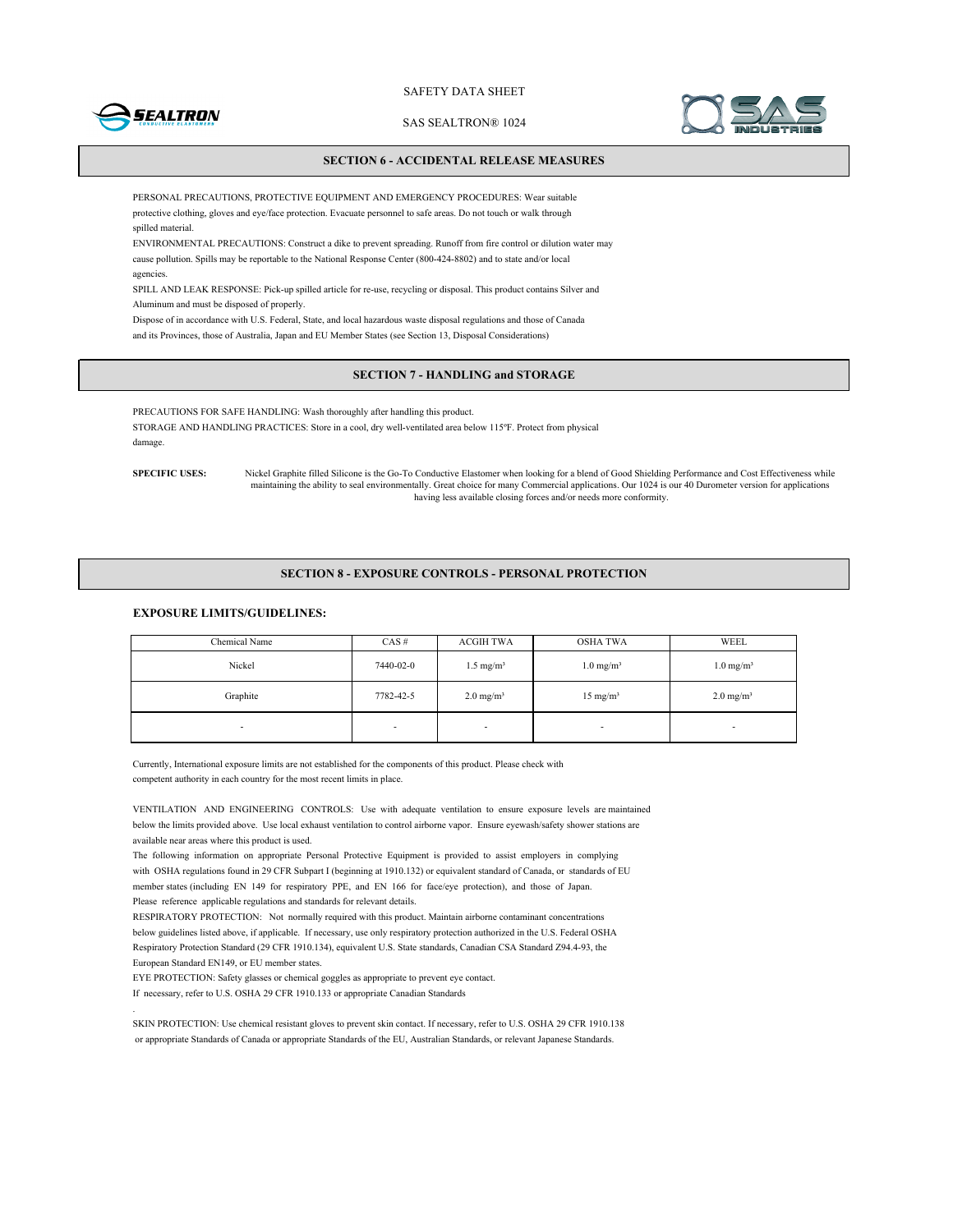

SAS SEALTRON® 1024



### **SECTION 6 - ACCIDENTAL RELEASE MEASURES**

PERSONAL PRECAUTIONS, PROTECTIVE EQUIPMENT AND EMERGENCY PROCEDURES: Wear suitable protective clothing, gloves and eye/face protection. Evacuate personnel to safe areas. Do not touch or walk through spilled material.

ENVIRONMENTAL PRECAUTIONS: Construct a dike to prevent spreading. Runoff from fire control or dilution water may cause pollution. Spills may be reportable to the National Response Center (800-424-8802) and to state and/or local agencies.

SPILL AND LEAK RESPONSE: Pick-up spilled article for re-use, recycling or disposal. This product contains Silver and Aluminum and must be disposed of properly.

Dispose of in accordance with U.S. Federal, State, and local hazardous waste disposal regulations and those of Canada and its Provinces, those of Australia, Japan and EU Member States (see Section 13, Disposal Considerations)

# **SECTION 7 - HANDLING and STORAGE**

PRECAUTIONS FOR SAFE HANDLING: Wash thoroughly after handling this product. STORAGE AND HANDLING PRACTICES: Store in a cool, dry well-ventilated area below 115ºF. Protect from physical damage.

**SPECIFIC USES:** Nickel Graphite filled Silicone is the Go-To Conductive Elastomer when looking for a blend of Good Shielding Performance and Cost Effectiveness while maintaining the ability to seal environmentally. Great choice for many Commercial applications. Our 1024 is our 40 Durometer version for applications having less available closing forces and/or needs more conformity.

#### **SECTION 8 - EXPOSURE CONTROLS - PERSONAL PROTECTION**

# **EXPOSURE LIMITS/GUIDELINES:**

| Chemical Name | $CAS \#$  | <b>ACGIH TWA</b>     | OSHA TWA                 | WEEL                    |
|---------------|-----------|----------------------|--------------------------|-------------------------|
| Nickel        | 7440-02-0 | $1.5 \text{ mg/m}^3$ | $1.0$ mg/m <sup>3</sup>  | $1.0$ mg/m <sup>3</sup> |
| Graphite      | 7782-42-5 | $2.0 \text{ mg/m}^3$ | $15 \text{ mg/m}^3$      | $2.0 \text{ mg/m}^3$    |
| ۰             | ۰         |                      | $\overline{\phantom{a}}$ | -                       |

Currently, International exposure limits are not established for the components of this product. Please check with competent authority in each country for the most recent limits in place.

VENTILATION AND ENGINEERING CONTROLS: Use with adequate ventilation to ensure exposure levels are maintained below the limits provided above. Use local exhaust ventilation to control airborne vapor. Ensure eyewash/safety shower stations are available near areas where this product is used.

The following information on appropriate Personal Protective Equipment is provided to assist employers in complying with OSHA regulations found in 29 CFR Subpart I (beginning at 1910.132) or equivalent standard of Canada, or standards of EU member states (including EN 149 for respiratory PPE, and EN 166 for face/eye protection), and those of Japan. Please reference applicable regulations and standards for relevant details.

RESPIRATORY PROTECTION: Not normally required with this product. Maintain airborne contaminant concentrations below guidelines listed above, if applicable. If necessary, use only respiratory protection authorized in the U.S. Federal OSHA Respiratory Protection Standard (29 CFR 1910.134), equivalent U.S. State standards, Canadian CSA Standard Z94.4-93, the European Standard EN149, or EU member states.

EYE PROTECTION: Safety glasses or chemical goggles as appropriate to prevent eye contact.

If necessary, refer to U.S. OSHA 29 CFR 1910.133 or appropriate Canadian Standards

.

SKIN PROTECTION: Use chemical resistant gloves to prevent skin contact. If necessary, refer to U.S. OSHA 29 CFR 1910.138 or appropriate Standards of Canada or appropriate Standards of the EU, Australian Standards, or relevant Japanese Standards.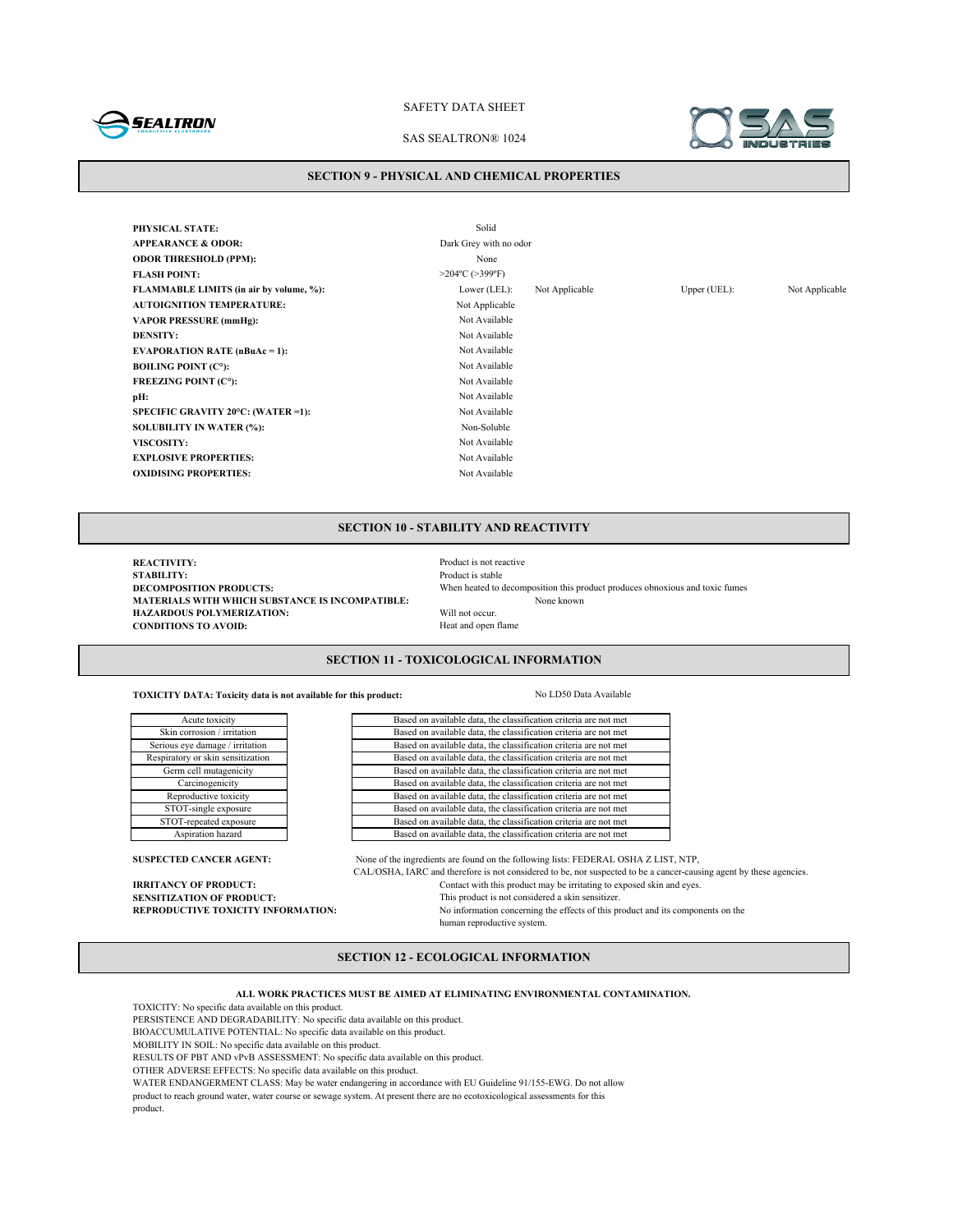

# SAS SEALTRON® 1024



#### **SECTION 9 - PHYSICAL AND CHEMICAL PROPERTIES**

**PHYSICAL STATE:** Solid **APPEARANCE & ODOR:** Dark Grey with no odor **ODOR THRESHOLD (PPM):** None **FLASH POINT:** >204°C (>399°F) **FLAMMABLE LIMITS (in air by volume, %):** Lower (LEL): Not Applicable Upper (UEL): Not Applicable **AUTOIGNITION TEMPERATURE:** Not Applicable **VAPOR PRESSURE (mmHg):** Not Available **DENSITY:** Not Available **EVAPORATION RATE (nBuAc = 1):** Not Available **BOILING POINT (C°):** Not Available **FREEZING POINT (C°):** Not Available **pH:** Not Available **SPECIFIC GRAVITY 20°C: (WATER =1):** Not Available **SOLUBILITY IN WATER (%):** Non-Soluble **VISCOSITY:** Not Available **EXPLOSIVE PROPERTIES:** Not Available **OXIDISING PROPERTIES:** Not Available

# **SECTION 10 - STABILITY AND REACTIVITY**

**REACTIVITY:**<br> **REACTIVITY:**<br> **Product is stable STABILITY:** Product is stable<br>DECOMPOSITION PRODUCTS: When heated to when heated to a stable **MATERIALS WITH WHICH SUBSTANCE IS INCOMPATIBLE:**<br> **HAZARDOUS POLYMERIZATION:** Will not occur. **HAZARDOUS POLYMERIZATION:** Will not occur.<br> **CONDITIONS TO AVOID:** Heat and open flame **CONDITIONS TO AVOID:** 

When heated to decomposition this product produces obnoxious and toxic fumes<br>None known

# **SECTION 11 - TOXICOLOGICAL INFORMATION**

**TOXICITY DATA: Toxicity data is not available for this product:** No LD50 Data Available

Based on available data, the classification criteria are not met Based on available data, the classification criteria are not met Based on available data, the classification criteria are not met Based on available data, the classification criteria are not met Based on available data, the classification criteria are not met Based on available data, the classification criteria are not met Based on available data, the classification criteria are not met Based on available data, the classification criteria are not met Based on available data, the classification criteria are not met Based on available data, the classification criteria are not met

**SUSPECTED CANCER AGENT:** None of the ingredients are found on the following lists: FEDERAL OSHA Z LIST, NTP, CAL/OSHA, IARC and therefore is not considered to be, nor suspected to be a cancer-causing agent by these agencies. **IRRITANCY OF PRODUCT:** Contact with this product may be irritating to exposed skin and eyes.<br>**SENSITIZATION OF PRODUCT:** This product is not considered a skin sensitizer. **SENSITIZATION OF PRODUCT:**<br> **REPRODUCTIVE TOXICITY INFORMATION:** No information concerning the effects of this product is not considered a skin sensitizer. No information concerning the effects of this product and its components on the human reproductive system.

# **SECTION 12 - ECOLOGICAL INFORMATION**

**ALL WORK PRACTICES MUST BE AIMED AT ELIMINATING ENVIRONMENTAL CONTAMINATION.**

TOXICITY: No specific data available on this product.

PERSISTENCE AND DEGRADABILITY: No specific data available on this product.

BIOACCUMULATIVE POTENTIAL: No specific data available on this product.

MOBILITY IN SOIL: No specific data available on this product.

RESULTS OF PBT AND vPvB ASSESSMENT: No specific data available on this product.

OTHER ADVERSE EFFECTS: No specific data available on this product.

WATER ENDANGERMENT CLASS: May be water endangering in accordance with EU Guideline 91/155-EWG. Do not allow

product to reach ground water, water course or sewage system. At present there are no ecotoxicological assessments for this product.

| Acute toxicity                    |
|-----------------------------------|
| Skin corrosion / irritation       |
| Serious eye damage / irritation   |
| Respiratory or skin sensitization |
| Germ cell mutagenicity            |
| Carcinogenicity                   |
| Reproductive toxicity             |
| STOT-single exposure              |
| STOT-repeated exposure            |
| Aspiration hazard                 |
|                                   |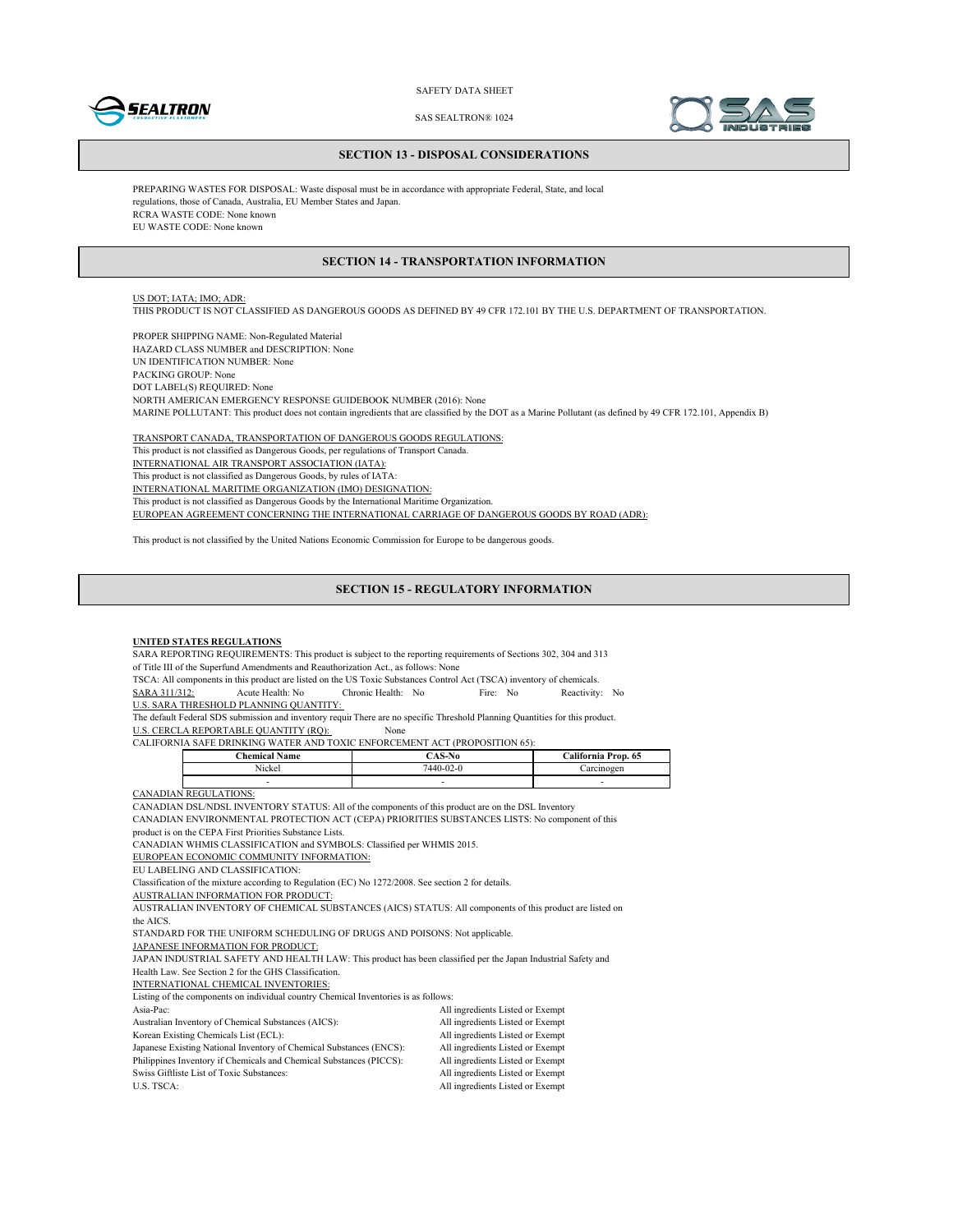



SAS SEALTRON® 1024

#### **SECTION 13 - DISPOSAL CONSIDERATIONS**

PREPARING WASTES FOR DISPOSAL: Waste disposal must be in accordance with appropriate Federal, State, and local regulations, those of Canada, Australia, EU Member States and Japan. RCRA WASTE CODE: None known EU WASTE CODE: None known

#### **SECTION 14 - TRANSPORTATION INFORMATION**

# US DOT; IATA; IMO; ADR:

THIS PRODUCT IS NOT CLASSIFIED AS DANGEROUS GOODS AS DEFINED BY 49 CFR 172.101 BY THE U.S. DEPARTMENT OF TRANSPORTATION.

PROPER SHIPPING NAME: Non-Regulated Material HAZARD CLASS NUMBER and DESCRIPTION: None UN IDENTIFICATION NUMBER: None PACKING GROUP: None DOT LABEL(S) REQUIRED: None NORTH AMERICAN EMERGENCY RESPONSE GUIDEBOOK NUMBER (2016): None MARINE POLLUTANT: This product does not contain ingredients that are classified by the DOT as a Marine Pollutant (as defined by 49 CFR 172.101, Appendix B)

TRANSPORT CANADA, TRANSPORTATION OF DANGEROUS GOODS REGULATIONS: This product is not classified as Dangerous Goods, per regulations of Transport Canada. INTERNATIONAL AIR TRANSPORT ASSOCIATION (IATA): This product is not classified as Dangerous Goods, by rules of IATA: INTERNATIONAL MARITIME ORGANIZATION (IMO) DESIGNATION: This product is not classified as Dangerous Goods by the International Maritime Organization. EUROPEAN AGREEMENT CONCERNING THE INTERNATIONAL CARRIAGE OF DANGEROUS GOODS BY ROAD (ADR):

This product is not classified by the United Nations Economic Commission for Europe to be dangerous goods.

#### **SECTION 15 - REGULATORY INFORMATION**

#### **UNITED STATES REGULATIONS**

SARA REPORTING REQUIREMENTS: This product is subject to the reporting requirements of Sections 302, 304 and 313 of Title III of the Superfund Amendments and Reauthorization Act., as follows: None

TSCA: All components in this product are listed on the US Toxic Substances Control Act (TSCA) inventory of chemicals.<br>
SARA 311/312: Acute Health: No Fire: No Reactivity SARA 311/312: Acute Health: No Chronic Health: No Fire: No Reactivity: No

U.S. SARA THRESHOLD PLANNING QUANTITY:

The default Federal SDS submission and inventory requir There are no specific Threshold Planning Quantities for this product.

U.S. CERCLA REPORTABLE QUANTITY (RQ): None

CALIFORNIA SAFE DRINKING WATER AND TOXIC ENFORCEMENT ACT (PROPOSITION 65):

| $N$ ame<br>'hemical | $\sim$ $\sim$   | .`alifornia<br>Prop. 65 |
|---------------------|-----------------|-------------------------|
| - - -<br>Nickel     | $7440 - 02 - 0$ | 0.2233000000<br>:CL     |
|                     |                 | -                       |

CANADIAN REGULATIONS:

CANADIAN DSL/NDSL INVENTORY STATUS: All of the components of this product are on the DSL Inventory

CANADIAN ENVIRONMENTAL PROTECTION ACT (CEPA) PRIORITIES SUBSTANCES LISTS: No component of this

product is on the CEPA First Priorities Substance Lists.

CANADIAN WHMIS CLASSIFICATION and SYMBOLS: Classified per WHMIS 2015.

EUROPEAN ECONOMIC COMMUNITY INFORMATION:

EU LABELING AND CLASSIFICATION:

Classification of the mixture according to Regulation (EC) No 1272/2008. See section 2 for details.

AUSTRALIAN INFORMATION FOR PRODUCT:

AUSTRALIAN INVENTORY OF CHEMICAL SUBSTANCES (AICS) STATUS: All components of this product are listed on the AICS.

STANDARD FOR THE UNIFORM SCHEDULING OF DRUGS AND POISONS: Not applicable.

JAPANESE INFORMATION FOR PRODUCT:

JAPAN INDUSTRIAL SAFETY AND HEALTH LAW: This product has been classified per the Japan Industrial Safety and Health Law. See Section 2 for the GHS Classification.

INTERNATIONAL CHEMICAL INVENTORIES:

Listing of the components on individual country Chemical Inventories is as follows:

| $\sim$ . The component on married country changes in the component of $\sim$ $\sim$ |                                  |
|-------------------------------------------------------------------------------------|----------------------------------|
| Asia-Pac:                                                                           | All ingredients Listed or Exempt |
| Australian Inventory of Chemical Substances (AICS):                                 | All ingredients Listed or Exempt |
| Korean Existing Chemicals List (ECL):                                               | All ingredients Listed or Exempt |
| Japanese Existing National Inventory of Chemical Substances (ENCS):                 | All ingredients Listed or Exempt |
| Philippines Inventory if Chemicals and Chemical Substances (PICCS):                 | All ingredients Listed or Exempt |
| Swiss Giftliste List of Toxic Substances:                                           | All ingredients Listed or Exempt |
| U.S. TSCA:                                                                          | All ingredients Listed or Exempt |
|                                                                                     |                                  |